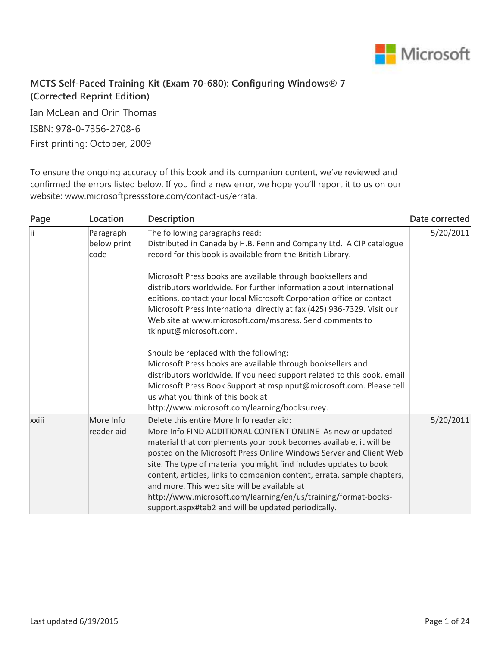

## **MCTS Self-Paced Training Kit (Exam 70-680): Configuring Windows® 7 (Corrected Reprint Edition)**

Ian McLean and Orin Thomas ISBN: 978-0-7356-2708-6 First printing: October, 2009

To ensure the ongoing accuracy of this book and its companion content, we've reviewed and confirmed the errors listed below. If you find a new error, we hope you'll report it to us on our website: www.microsoftpressstore.com/contact-us/errata.

| Page  | Location                         | <b>Description</b>                                                                                                                                                                                                                                                                                                                                                                                                                                                                                                                                                          | Date corrected |
|-------|----------------------------------|-----------------------------------------------------------------------------------------------------------------------------------------------------------------------------------------------------------------------------------------------------------------------------------------------------------------------------------------------------------------------------------------------------------------------------------------------------------------------------------------------------------------------------------------------------------------------------|----------------|
| Ϊİ    | Paragraph<br>below print<br>code | The following paragraphs read:<br>Distributed in Canada by H.B. Fenn and Company Ltd. A CIP catalogue<br>record for this book is available from the British Library.                                                                                                                                                                                                                                                                                                                                                                                                        | 5/20/2011      |
|       |                                  | Microsoft Press books are available through booksellers and<br>distributors worldwide. For further information about international<br>editions, contact your local Microsoft Corporation office or contact<br>Microsoft Press International directly at fax (425) 936-7329. Visit our<br>Web site at www.microsoft.com/mspress. Send comments to<br>tkinput@microsoft.com.                                                                                                                                                                                                  |                |
|       |                                  | Should be replaced with the following:<br>Microsoft Press books are available through booksellers and<br>distributors worldwide. If you need support related to this book, email<br>Microsoft Press Book Support at mspinput@microsoft.com. Please tell<br>us what you think of this book at<br>http://www.microsoft.com/learning/booksurvey.                                                                                                                                                                                                                               |                |
| xxiii | More Info<br>reader aid          | Delete this entire More Info reader aid:<br>More Info FIND ADDITIONAL CONTENT ONLINE As new or updated<br>material that complements your book becomes available, it will be<br>posted on the Microsoft Press Online Windows Server and Client Web<br>site. The type of material you might find includes updates to book<br>content, articles, links to companion content, errata, sample chapters,<br>and more. This web site will be available at<br>http://www.microsoft.com/learning/en/us/training/format-books-<br>support.aspx#tab2 and will be updated periodically. | 5/20/2011      |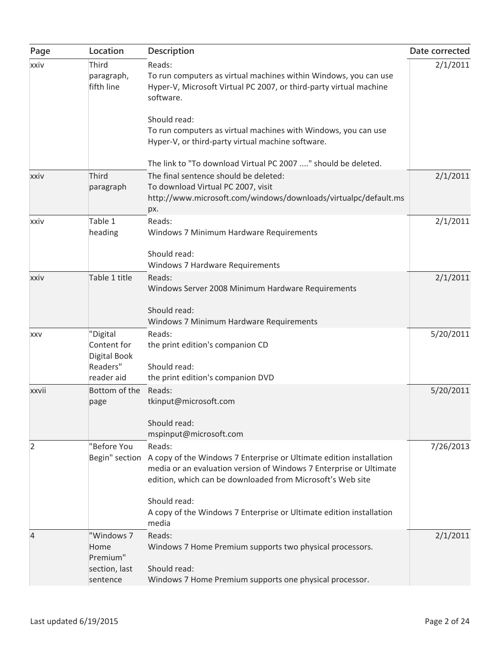| Page           | Location                           | Description                                                                                                                                                                                                            | Date corrected |
|----------------|------------------------------------|------------------------------------------------------------------------------------------------------------------------------------------------------------------------------------------------------------------------|----------------|
| xxiv           | Third<br>paragraph,<br>fifth line  | Reads:<br>To run computers as virtual machines within Windows, you can use<br>Hyper-V, Microsoft Virtual PC 2007, or third-party virtual machine<br>software.                                                          | 2/1/2011       |
|                |                                    | Should read:                                                                                                                                                                                                           |                |
|                |                                    | To run computers as virtual machines with Windows, you can use<br>Hyper-V, or third-party virtual machine software.                                                                                                    |                |
|                |                                    | The link to "To download Virtual PC 2007 " should be deleted.                                                                                                                                                          |                |
| xxiv           | Third<br>paragraph                 | The final sentence should be deleted:<br>To download Virtual PC 2007, visit<br>http://www.microsoft.com/windows/downloads/virtualpc/default.ms<br>px.                                                                  | 2/1/2011       |
| xxiv           | Table 1                            | Reads:                                                                                                                                                                                                                 | 2/1/2011       |
|                | heading                            | Windows 7 Minimum Hardware Requirements                                                                                                                                                                                |                |
|                |                                    | Should read:<br>Windows 7 Hardware Requirements                                                                                                                                                                        |                |
| xxiv           | Table 1 title                      | Reads:<br>Windows Server 2008 Minimum Hardware Requirements                                                                                                                                                            | 2/1/2011       |
|                |                                    | Should read:<br>Windows 7 Minimum Hardware Requirements                                                                                                                                                                |                |
| <b>XXV</b>     | "Digital                           | Reads:                                                                                                                                                                                                                 | 5/20/2011      |
|                | Content for<br><b>Digital Book</b> | the print edition's companion CD                                                                                                                                                                                       |                |
|                | Readers"                           | Should read:                                                                                                                                                                                                           |                |
| xxvii          | reader aid<br>Bottom of the        | the print edition's companion DVD<br>Reads:                                                                                                                                                                            | 5/20/2011      |
|                | page                               | tkinput@microsoft.com                                                                                                                                                                                                  |                |
|                |                                    | Should read:<br>mspinput@microsoft.com                                                                                                                                                                                 |                |
| 2              | "Before You                        | Reads:                                                                                                                                                                                                                 | 7/26/2013      |
|                |                                    | Begin" section A copy of the Windows 7 Enterprise or Ultimate edition installation<br>media or an evaluation version of Windows 7 Enterprise or Ultimate<br>edition, which can be downloaded from Microsoft's Web site |                |
|                |                                    | Should read:                                                                                                                                                                                                           |                |
|                |                                    | A copy of the Windows 7 Enterprise or Ultimate edition installation<br>media                                                                                                                                           |                |
| $\overline{4}$ | "Windows 7                         | Reads:                                                                                                                                                                                                                 | 2/1/2011       |
|                | Home<br>Premium"<br>section, last  | Windows 7 Home Premium supports two physical processors.<br>Should read:                                                                                                                                               |                |
|                | sentence                           | Windows 7 Home Premium supports one physical processor.                                                                                                                                                                |                |
|                |                                    |                                                                                                                                                                                                                        |                |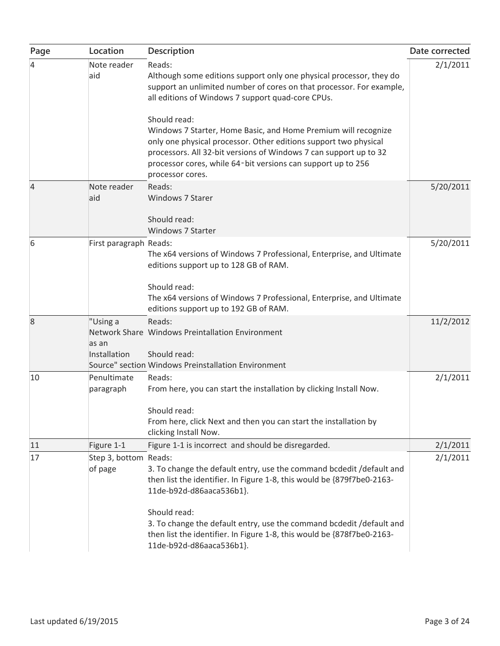| Page | Location                          | <b>Description</b>                                                                                                                                                                                                                                                                                          | Date corrected |
|------|-----------------------------------|-------------------------------------------------------------------------------------------------------------------------------------------------------------------------------------------------------------------------------------------------------------------------------------------------------------|----------------|
| 4    | Note reader<br>aid                | Reads:<br>Although some editions support only one physical processor, they do<br>support an unlimited number of cores on that processor. For example,<br>all editions of Windows 7 support quad-core CPUs.                                                                                                  | 2/1/2011       |
|      |                                   | Should read:<br>Windows 7 Starter, Home Basic, and Home Premium will recognize<br>only one physical processor. Other editions support two physical<br>processors. All 32-bit versions of Windows 7 can support up to 32<br>processor cores, while 64-bit versions can support up to 256<br>processor cores. |                |
| 4    | Note reader<br>aid                | Reads:<br>Windows 7 Starer<br>Should read:                                                                                                                                                                                                                                                                  | 5/20/2011      |
| 6    | First paragraph Reads:            | Windows 7 Starter<br>The x64 versions of Windows 7 Professional, Enterprise, and Ultimate<br>editions support up to 128 GB of RAM.                                                                                                                                                                          | 5/20/2011      |
|      |                                   | Should read:<br>The x64 versions of Windows 7 Professional, Enterprise, and Ultimate<br>editions support up to 192 GB of RAM.                                                                                                                                                                               |                |
| 8    | "Using a<br>as an<br>Installation | Reads:<br>Network Share Windows Preintallation Environment<br>Should read:<br>Source" section Windows Preinstallation Environment                                                                                                                                                                           | 11/2/2012      |
| 10   | Penultimate<br>paragraph          | Reads:<br>From here, you can start the installation by clicking Install Now.<br>Should read:<br>From here, click Next and then you can start the installation by<br>clicking Install Now.                                                                                                                   | 2/1/2011       |
| 11   | Figure 1-1                        | Figure 1-1 is incorrect and should be disregarded.                                                                                                                                                                                                                                                          | 2/1/2011       |
| 17   | Step 3, bottom Reads:<br>of page  | 3. To change the default entry, use the command bcdedit /default and<br>then list the identifier. In Figure 1-8, this would be {879f7be0-2163-<br>11de-b92d-d86aaca536b1}.                                                                                                                                  | 2/1/2011       |
|      |                                   | Should read:<br>3. To change the default entry, use the command bcdedit / default and<br>then list the identifier. In Figure 1-8, this would be {878f7be0-2163-<br>11de-b92d-d86aaca536b1}.                                                                                                                 |                |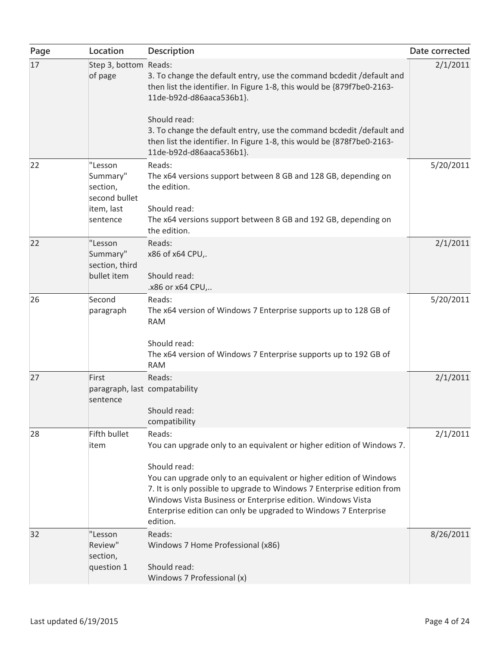| Page | Location                                             | Description                                                                                                                                                                                                                                                                                                                                                                       | Date corrected |
|------|------------------------------------------------------|-----------------------------------------------------------------------------------------------------------------------------------------------------------------------------------------------------------------------------------------------------------------------------------------------------------------------------------------------------------------------------------|----------------|
| 17   | Step 3, bottom Reads:<br>of page                     | 3. To change the default entry, use the command bcdedit /default and<br>then list the identifier. In Figure 1-8, this would be {879f7be0-2163-<br>11de-b92d-d86aaca536b1}.<br>Should read:<br>3. To change the default entry, use the command bcdedit /default and                                                                                                                | 2/1/2011       |
|      |                                                      | then list the identifier. In Figure 1-8, this would be {878f7be0-2163-<br>11de-b92d-d86aaca536b1}.                                                                                                                                                                                                                                                                                |                |
| 22   | "Lesson<br>Summary"<br>section,<br>second bullet     | Reads:<br>The x64 versions support between 8 GB and 128 GB, depending on<br>the edition.                                                                                                                                                                                                                                                                                          | 5/20/2011      |
|      | item, last<br>sentence                               | Should read:<br>The x64 versions support between 8 GB and 192 GB, depending on<br>the edition.                                                                                                                                                                                                                                                                                    |                |
| 22   | "Lesson<br>Summary"<br>section, third<br>bullet item | Reads:<br>x86 of x64 CPU,.<br>Should read:                                                                                                                                                                                                                                                                                                                                        | 2/1/2011       |
|      |                                                      | .x86 or x64 CPU,                                                                                                                                                                                                                                                                                                                                                                  |                |
| 26   | Second<br>paragraph                                  | Reads:<br>The x64 version of Windows 7 Enterprise supports up to 128 GB of<br><b>RAM</b>                                                                                                                                                                                                                                                                                          | 5/20/2011      |
|      |                                                      | Should read:<br>The x64 version of Windows 7 Enterprise supports up to 192 GB of<br><b>RAM</b>                                                                                                                                                                                                                                                                                    |                |
| 27   | First<br>paragraph, last compatability<br>sentence   | Reads:<br>Should read:<br>compatibility                                                                                                                                                                                                                                                                                                                                           | 2/1/2011       |
| 28   | Fifth bullet<br>item                                 | Reads:<br>You can upgrade only to an equivalent or higher edition of Windows 7.<br>Should read:<br>You can upgrade only to an equivalent or higher edition of Windows<br>7. It is only possible to upgrade to Windows 7 Enterprise edition from<br>Windows Vista Business or Enterprise edition. Windows Vista<br>Enterprise edition can only be upgraded to Windows 7 Enterprise | 2/1/2011       |
| 32   | "Lesson<br>Review"<br>section,<br>question 1         | edition.<br>Reads:<br>Windows 7 Home Professional (x86)<br>Should read:<br>Windows 7 Professional (x)                                                                                                                                                                                                                                                                             | 8/26/2011      |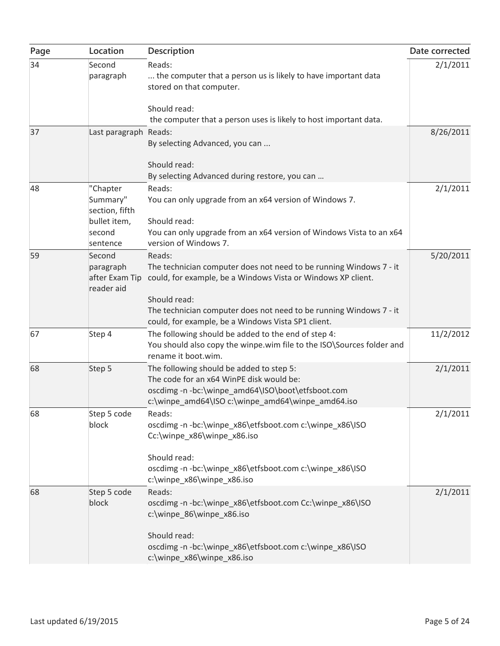| Page | Location                                                                     | Description                                                                                                                                                                                                                        | Date corrected |
|------|------------------------------------------------------------------------------|------------------------------------------------------------------------------------------------------------------------------------------------------------------------------------------------------------------------------------|----------------|
| 34   | Second<br>paragraph                                                          | Reads:<br>the computer that a person us is likely to have important data<br>stored on that computer.                                                                                                                               | 2/1/2011       |
|      |                                                                              | Should read:                                                                                                                                                                                                                       |                |
|      |                                                                              | the computer that a person uses is likely to host important data.                                                                                                                                                                  |                |
| 37   | Last paragraph Reads:                                                        | By selecting Advanced, you can                                                                                                                                                                                                     | 8/26/2011      |
|      |                                                                              | Should read:<br>By selecting Advanced during restore, you can                                                                                                                                                                      |                |
| 48   | "Chapter<br>Summary"<br>section, fifth<br>bullet item,<br>second<br>sentence | Reads:<br>You can only upgrade from an x64 version of Windows 7.<br>Should read:<br>You can only upgrade from an x64 version of Windows Vista to an x64<br>version of Windows 7.                                                   | 2/1/2011       |
| 59   | Second<br>paragraph<br>after Exam Tip<br>reader aid                          | Reads:<br>The technician computer does not need to be running Windows 7 - it<br>could, for example, be a Windows Vista or Windows XP client.<br>Should read:<br>The technician computer does not need to be running Windows 7 - it | 5/20/2011      |
| 67   | Step 4                                                                       | could, for example, be a Windows Vista SP1 client.<br>The following should be added to the end of step 4:<br>You should also copy the winpe.wim file to the ISO\Sources folder and<br>rename it boot.wim.                          | 11/2/2012      |
| 68   | Step 5                                                                       | The following should be added to step 5:<br>The code for an x64 WinPE disk would be:<br>oscdimg-n-bc:\winpe_amd64\ISO\boot\etfsboot.com<br>c:\winpe_amd64\ISO c:\winpe_amd64\winpe_amd64.iso                                       | 2/1/2011       |
| 68   | Step 5 code<br>block                                                         | Reads:<br>oscdimg-n-bc:\winpe_x86\etfsboot.com c:\winpe_x86\ISO<br>Cc:\winpe_x86\winpe_x86.iso<br>Should read:<br>oscdimg-n-bc:\winpe_x86\etfsboot.com c:\winpe_x86\ISO<br>c:\winpe_x86\winpe_x86.iso                              | 2/1/2011       |
| 68   | Step 5 code<br>block                                                         | Reads:<br>oscdimg -n -bc:\winpe_x86\etfsboot.com Cc:\winpe_x86\ISO<br>c:\winpe_86\winpe_x86.iso<br>Should read:                                                                                                                    | 2/1/2011       |
|      |                                                                              | oscdimg -n -bc:\winpe_x86\etfsboot.com c:\winpe_x86\ISO<br>c:\winpe_x86\winpe_x86.iso                                                                                                                                              |                |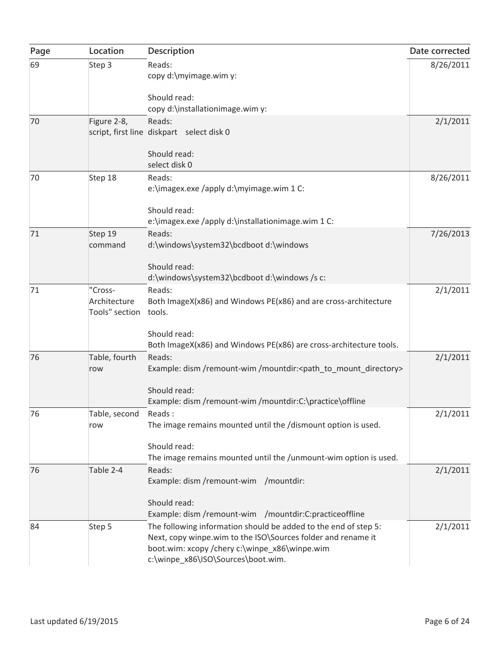| Page | Location                       | Description                                                                                                                     | Date corrected |
|------|--------------------------------|---------------------------------------------------------------------------------------------------------------------------------|----------------|
| 69   | Step 3                         | Reads:                                                                                                                          | 8/26/2011      |
|      |                                | copy d:\myimage.wim y:                                                                                                          |                |
|      |                                | Should read:                                                                                                                    |                |
|      |                                | copy d:\installationimage.wim y:                                                                                                |                |
| 70   | Figure 2-8,                    | Reads:                                                                                                                          | 2/1/2011       |
|      |                                | script, first line diskpart select disk 0                                                                                       |                |
|      |                                | Should read:                                                                                                                    |                |
|      |                                | select disk 0                                                                                                                   |                |
| 70   | Step 18                        | Reads:                                                                                                                          | 8/26/2011      |
|      |                                | e:\imagex.exe /apply d:\myimage.wim 1 C:                                                                                        |                |
|      |                                |                                                                                                                                 |                |
|      |                                | Should read:                                                                                                                    |                |
| 71   | Step 19                        | e:\imagex.exe /apply d:\installationimage.wim 1 C:<br>Reads:                                                                    | 7/26/2013      |
|      | command                        | d:\windows\system32\bcdboot d:\windows                                                                                          |                |
|      |                                |                                                                                                                                 |                |
|      |                                | Should read:                                                                                                                    |                |
|      |                                | d:\windows\system32\bcdboot d:\windows /s c:                                                                                    |                |
| 71   | "Cross-                        | Reads:                                                                                                                          | 2/1/2011       |
|      | Architecture<br>Tools" section | Both ImageX(x86) and Windows PE(x86) and are cross-architecture<br>tools.                                                       |                |
|      |                                |                                                                                                                                 |                |
|      |                                | Should read:                                                                                                                    |                |
|      |                                | Both ImageX(x86) and Windows PE(x86) are cross-architecture tools.                                                              |                |
| 76   | Table, fourth                  | Reads:                                                                                                                          | 2/1/2011       |
|      | row                            | Example: dism /remount-wim /mountdir: <path_to_mount_directory></path_to_mount_directory>                                       |                |
|      |                                | Should read:                                                                                                                    |                |
|      |                                | Example: dism /remount-wim /mountdir:C:\practice\offline                                                                        |                |
| 76   | Table, second                  | Reads:                                                                                                                          | 2/1/2011       |
|      | row                            | The image remains mounted until the /dismount option is used.                                                                   |                |
|      |                                | Should read:                                                                                                                    |                |
|      |                                | The image remains mounted until the /unmount-wim option is used.                                                                |                |
| 76   | Table 2-4                      | Reads:                                                                                                                          | 2/1/2011       |
|      |                                | Example: dism /remount-wim /mountdir:                                                                                           |                |
|      |                                |                                                                                                                                 |                |
|      |                                | Should read:                                                                                                                    |                |
|      |                                | Example: dism /remount-wim /mountdir:C:practiceoffline                                                                          |                |
| 84   | Step 5                         | The following information should be added to the end of step 5:<br>Next, copy winpe.wim to the ISO\Sources folder and rename it | 2/1/2011       |
|      |                                | boot.wim: xcopy /chery c:\winpe_x86\winpe.wim                                                                                   |                |
|      |                                | c:\winpe_x86\ISO\Sources\boot.wim.                                                                                              |                |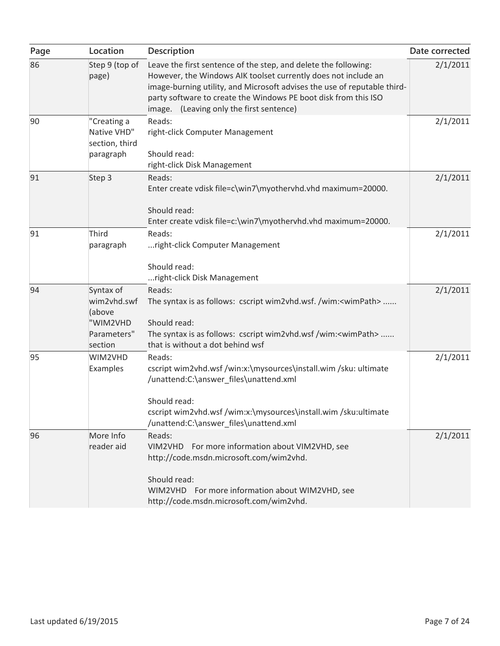| Page | Location                                                                 | Description                                                                                                                                                                                                                                                                                                                  | Date corrected |
|------|--------------------------------------------------------------------------|------------------------------------------------------------------------------------------------------------------------------------------------------------------------------------------------------------------------------------------------------------------------------------------------------------------------------|----------------|
| 86   | Step 9 (top of<br>page)                                                  | Leave the first sentence of the step, and delete the following:<br>However, the Windows AIK toolset currently does not include an<br>image-burning utility, and Microsoft advises the use of reputable third-<br>party software to create the Windows PE boot disk from this ISO<br>image. (Leaving only the first sentence) | 2/1/2011       |
| 90   | "Creating a<br>Native VHD"<br>section, third<br>paragraph                | Reads:<br>right-click Computer Management<br>Should read:<br>right-click Disk Management                                                                                                                                                                                                                                     | 2/1/2011       |
| 91   | Step 3                                                                   | Reads:<br>Enter create vdisk file=c\win7\myothervhd.vhd maximum=20000.<br>Should read:<br>Enter create vdisk file=c:\win7\myothervhd.vhd maximum=20000.                                                                                                                                                                      | 2/1/2011       |
| 91   | Third<br>paragraph                                                       | Reads:<br>right-click Computer Management<br>Should read:<br>right-click Disk Management                                                                                                                                                                                                                                     | 2/1/2011       |
| 94   | Syntax of<br>wim2vhd.swf<br>(above<br>"WIM2VHD<br>Parameters"<br>section | Reads:<br>The syntax is as follows: cscript wim2vhd.wsf. /wim: <wimpath> <br/>Should read:<br/>The syntax is as follows: cscript wim2vhd.wsf /wim:<wimpath> <br/>that is without a dot behind wsf</wimpath></wimpath>                                                                                                        | 2/1/2011       |
| 95   | WIM2VHD<br>Examples                                                      | Reads:<br>cscript wim2vhd.wsf /win:x:\mysources\install.wim /sku: ultimate<br>/unattend:C:\answer_files\unattend.xml<br>Should read:<br>cscript wim2vhd.wsf /wim:x:\mysources\install.wim /sku:ultimate<br>/unattend:C:\answer_files\unattend.xml                                                                            | 2/1/2011       |
| 96   | More Info<br>reader aid                                                  | Reads:<br>VIM2VHD For more information about VIM2VHD, see<br>http://code.msdn.microsoft.com/wim2vhd.<br>Should read:<br>WIM2VHD For more information about WIM2VHD, see<br>http://code.msdn.microsoft.com/wim2vhd.                                                                                                           | 2/1/2011       |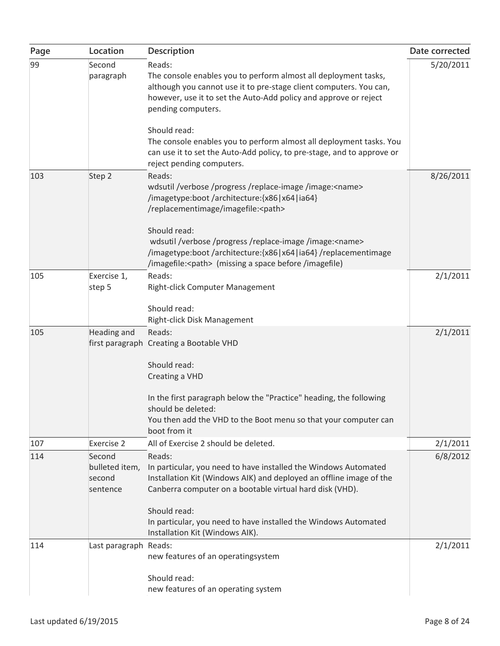| Page | Location                                       | Description                                                                                                                                                                                                                                                                                                                                                                                                                             | Date corrected |
|------|------------------------------------------------|-----------------------------------------------------------------------------------------------------------------------------------------------------------------------------------------------------------------------------------------------------------------------------------------------------------------------------------------------------------------------------------------------------------------------------------------|----------------|
| 99   | Second<br>paragraph                            | Reads:<br>The console enables you to perform almost all deployment tasks,<br>although you cannot use it to pre-stage client computers. You can,<br>however, use it to set the Auto-Add policy and approve or reject<br>pending computers.<br>Should read:<br>The console enables you to perform almost all deployment tasks. You<br>can use it to set the Auto-Add policy, to pre-stage, and to approve or<br>reject pending computers. | 5/20/2011      |
| 103  | Step 2                                         | Reads:<br>wdsutil /verbose /progress /replace-image /image: <name><br/>/imagetype:boot /architecture: {x86   x64   ia64}<br/>/replacementimage/imagefile:<path><br/>Should read:<br/>wdsutil /verbose /progress /replace-image /image:<name><br/>/imagetype:boot/architecture:{x86 x64 ia64}/replacementimage<br/>/imagefile:<path> (missing a space before /imagefile)</path></name></path></name>                                     | 8/26/2011      |
| 105  | Exercise 1,<br>step 5                          | Reads:<br>Right-click Computer Management<br>Should read:<br>Right-click Disk Management                                                                                                                                                                                                                                                                                                                                                | 2/1/2011       |
| 105  | Heading and                                    | Reads:<br>first paragraph Creating a Bootable VHD<br>Should read:<br>Creating a VHD<br>In the first paragraph below the "Practice" heading, the following<br>should be deleted:<br>You then add the VHD to the Boot menu so that your computer can<br>boot from it                                                                                                                                                                      | 2/1/2011       |
| 107  | <b>Exercise 2</b>                              | All of Exercise 2 should be deleted.                                                                                                                                                                                                                                                                                                                                                                                                    | 2/1/2011       |
| 114  | Second<br>bulleted item,<br>second<br>sentence | Reads:<br>In particular, you need to have installed the Windows Automated<br>Installation Kit (Windows AIK) and deployed an offline image of the<br>Canberra computer on a bootable virtual hard disk (VHD).<br>Should read:<br>In particular, you need to have installed the Windows Automated<br>Installation Kit (Windows AIK).                                                                                                      | 6/8/2012       |
| 114  | Last paragraph Reads:                          | new features of an operatingsystem<br>Should read:<br>new features of an operating system                                                                                                                                                                                                                                                                                                                                               | 2/1/2011       |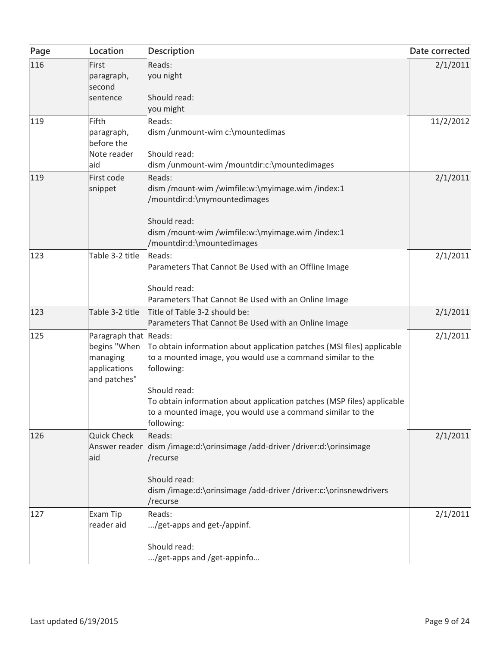| Page | Location                                                          | Description                                                                                                                                                                                                                                                                                                             | Date corrected |
|------|-------------------------------------------------------------------|-------------------------------------------------------------------------------------------------------------------------------------------------------------------------------------------------------------------------------------------------------------------------------------------------------------------------|----------------|
| 116  | First<br>paragraph,<br>second                                     | Reads:<br>you night                                                                                                                                                                                                                                                                                                     | 2/1/2011       |
|      | sentence                                                          | Should read:<br>you might                                                                                                                                                                                                                                                                                               |                |
| 119  | Fifth<br>paragraph,<br>before the<br>Note reader<br>aid           | Reads:<br>dism /unmount-wim c:\mountedimas<br>Should read:<br>dism /unmount-wim /mountdir:c:\mountedimages                                                                                                                                                                                                              | 11/2/2012      |
| 119  | First code<br>snippet                                             | Reads:<br>dism /mount-wim /wimfile:w:\myimage.wim /index:1<br>/mountdir:d:\mymountedimages<br>Should read:<br>dism /mount-wim /wimfile:w:\myimage.wim /index:1<br>/mountdir:d:\mountedimages                                                                                                                            | 2/1/2011       |
| 123  | Table 3-2 title                                                   | Reads:<br>Parameters That Cannot Be Used with an Offline Image<br>Should read:<br>Parameters That Cannot Be Used with an Online Image                                                                                                                                                                                   | 2/1/2011       |
| 123  | Table 3-2 title                                                   | Title of Table 3-2 should be:<br>Parameters That Cannot Be Used with an Online Image                                                                                                                                                                                                                                    | 2/1/2011       |
| 125  | Paragraph that Reads:<br>managing<br>applications<br>and patches" | begins "When To obtain information about application patches (MSI files) applicable<br>to a mounted image, you would use a command similar to the<br>following:<br>Should read:<br>To obtain information about application patches (MSP files) applicable<br>to a mounted image, you would use a command similar to the | 2/1/2011       |
| 126  | <b>Quick Check</b><br>aid                                         | following:<br>Reads:<br>Answer reader dism /image:d:\orinsimage /add-driver /driver:d:\orinsimage<br>/recurse<br>Should read:<br>dism /image:d:\orinsimage /add-driver /driver:c:\orinsnewdrivers                                                                                                                       | 2/1/2011       |
| 127  | Exam Tip<br>reader aid                                            | /recurse<br>Reads:<br>/get-apps and get-/appinf.<br>Should read:<br>/get-apps and /get-appinfo                                                                                                                                                                                                                          | 2/1/2011       |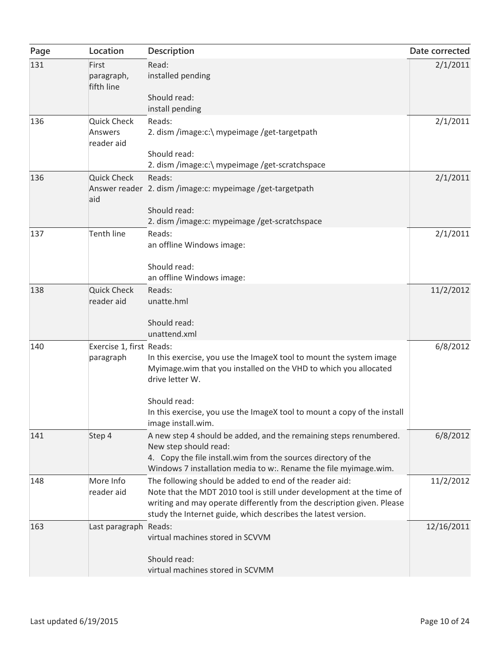| Page | Location                                    | Description                                                                                                                                                                                                                                                                 | Date corrected |
|------|---------------------------------------------|-----------------------------------------------------------------------------------------------------------------------------------------------------------------------------------------------------------------------------------------------------------------------------|----------------|
| 131  | First<br>paragraph,<br>fifth line           | Read:<br>installed pending                                                                                                                                                                                                                                                  | 2/1/2011       |
|      |                                             | Should read:<br>install pending                                                                                                                                                                                                                                             |                |
| 136  | <b>Quick Check</b><br>Answers<br>reader aid | Reads:<br>2. dism /image:c:\ mypeimage /get-targetpath<br>Should read:                                                                                                                                                                                                      | 2/1/2011       |
|      |                                             | 2. dism /image:c:\ mypeimage /get-scratchspace                                                                                                                                                                                                                              |                |
| 136  | <b>Quick Check</b><br>aid                   | Reads:<br>Answer reader 2. dism /image:c: mypeimage /get-targetpath                                                                                                                                                                                                         | 2/1/2011       |
|      |                                             | Should read:<br>2. dism /image: c: mypeimage /get-scratchspace                                                                                                                                                                                                              |                |
| 137  | <b>Tenth line</b>                           | Reads:<br>an offline Windows image:                                                                                                                                                                                                                                         | 2/1/2011       |
|      |                                             | Should read:<br>an offline Windows image:                                                                                                                                                                                                                                   |                |
| 138  | <b>Quick Check</b><br>reader aid            | Reads:<br>unatte.hml                                                                                                                                                                                                                                                        | 11/2/2012      |
|      |                                             | Should read:<br>unattend.xml                                                                                                                                                                                                                                                |                |
| 140  | Exercise 1, first Reads:<br>paragraph       | In this exercise, you use the ImageX tool to mount the system image<br>Myimage.wim that you installed on the VHD to which you allocated<br>drive letter W.<br>Should read:                                                                                                  | 6/8/2012       |
|      |                                             | In this exercise, you use the ImageX tool to mount a copy of the install<br>image install.wim.                                                                                                                                                                              |                |
| 141  | Step 4                                      | A new step 4 should be added, and the remaining steps renumbered.<br>New step should read:<br>4. Copy the file install.wim from the sources directory of the<br>Windows 7 installation media to w:. Rename the file myimage.wim.                                            | 6/8/2012       |
| 148  | More Info<br>reader aid                     | The following should be added to end of the reader aid:<br>Note that the MDT 2010 tool is still under development at the time of<br>writing and may operate differently from the description given. Please<br>study the Internet guide, which describes the latest version. | 11/2/2012      |
| 163  | Last paragraph Reads:                       | virtual machines stored in SCVVM<br>Should read:<br>virtual machines stored in SCVMM                                                                                                                                                                                        | 12/16/2011     |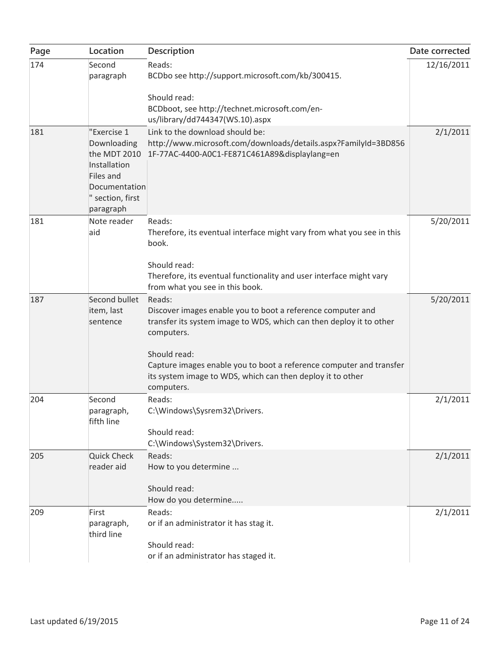| Page | Location                                                                                                                  | Description                                                                                                                                                                                                                                                                                                                   | Date corrected |
|------|---------------------------------------------------------------------------------------------------------------------------|-------------------------------------------------------------------------------------------------------------------------------------------------------------------------------------------------------------------------------------------------------------------------------------------------------------------------------|----------------|
| 174  | Second<br>paragraph                                                                                                       | Reads:<br>BCDbo see http://support.microsoft.com/kb/300415.                                                                                                                                                                                                                                                                   | 12/16/2011     |
|      |                                                                                                                           | Should read:<br>BCDboot, see http://technet.microsoft.com/en-<br>us/library/dd744347(WS.10).aspx                                                                                                                                                                                                                              |                |
| 181  | "Exercise 1<br>Downloading<br>the MDT 2010<br>Installation<br>Files and<br>Documentation<br>" section, first<br>paragraph | Link to the download should be:<br>http://www.microsoft.com/downloads/details.aspx?FamilyId=3BD856<br>1F-77AC-4400-A0C1-FE871C461A89&displaylang=en                                                                                                                                                                           | 2/1/2011       |
| 181  | Note reader<br>aid                                                                                                        | Reads:<br>Therefore, its eventual interface might vary from what you see in this<br>book.<br>Should read:<br>Therefore, its eventual functionality and user interface might vary<br>from what you see in this book.                                                                                                           | 5/20/2011      |
| 187  | Second bullet<br>item, last<br>sentence                                                                                   | Reads:<br>Discover images enable you to boot a reference computer and<br>transfer its system image to WDS, which can then deploy it to other<br>computers.<br>Should read:<br>Capture images enable you to boot a reference computer and transfer<br>its system image to WDS, which can then deploy it to other<br>computers. | 5/20/2011      |
| 204  | Second<br>paragraph,<br>fifth line                                                                                        | Reads:<br>C:\Windows\Sysrem32\Drivers.<br>Should read:<br>C:\Windows\System32\Drivers.                                                                                                                                                                                                                                        | 2/1/2011       |
| 205  | <b>Quick Check</b><br>reader aid                                                                                          | Reads:<br>How to you determine<br>Should read:<br>How do you determine                                                                                                                                                                                                                                                        | 2/1/2011       |
| 209  | First<br>paragraph,<br>third line                                                                                         | Reads:<br>or if an administrator it has stag it.<br>Should read:<br>or if an administrator has staged it.                                                                                                                                                                                                                     | 2/1/2011       |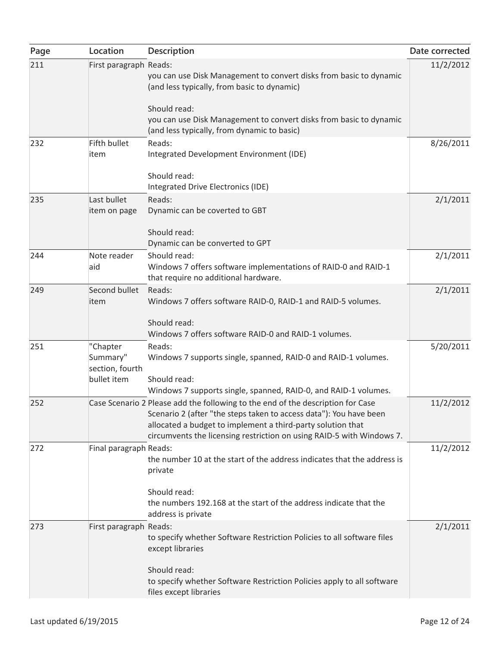| Page | Location                                               | Description                                                                                                                                                                                                                                                                                   | Date corrected |
|------|--------------------------------------------------------|-----------------------------------------------------------------------------------------------------------------------------------------------------------------------------------------------------------------------------------------------------------------------------------------------|----------------|
| 211  | First paragraph Reads:                                 | you can use Disk Management to convert disks from basic to dynamic<br>(and less typically, from basic to dynamic)                                                                                                                                                                             | 11/2/2012      |
|      |                                                        | Should read:<br>you can use Disk Management to convert disks from basic to dynamic<br>(and less typically, from dynamic to basic)                                                                                                                                                             |                |
| 232  | Fifth bullet<br>item                                   | Reads:<br>Integrated Development Environment (IDE)                                                                                                                                                                                                                                            | 8/26/2011      |
|      |                                                        | Should read:<br>Integrated Drive Electronics (IDE)                                                                                                                                                                                                                                            |                |
| 235  | Last bullet<br>item on page                            | Reads:<br>Dynamic can be coverted to GBT<br>Should read:                                                                                                                                                                                                                                      | 2/1/2011       |
|      |                                                        | Dynamic can be converted to GPT                                                                                                                                                                                                                                                               |                |
| 244  | Note reader<br>aid                                     | Should read:<br>Windows 7 offers software implementations of RAID-0 and RAID-1<br>that require no additional hardware.                                                                                                                                                                        | 2/1/2011       |
| 249  | Second bullet<br>item                                  | Reads:<br>Windows 7 offers software RAID-0, RAID-1 and RAID-5 volumes.<br>Should read:<br>Windows 7 offers software RAID-0 and RAID-1 volumes.                                                                                                                                                | 2/1/2011       |
| 251  | "Chapter<br>Summary"<br>section, fourth<br>bullet item | Reads:<br>Windows 7 supports single, spanned, RAID-0 and RAID-1 volumes.<br>Should read:<br>Windows 7 supports single, spanned, RAID-0, and RAID-1 volumes.                                                                                                                                   | 5/20/2011      |
| 252  |                                                        | Case Scenario 2 Please add the following to the end of the description for Case<br>Scenario 2 (after "the steps taken to access data"): You have been<br>allocated a budget to implement a third-party solution that<br>circumvents the licensing restriction on using RAID-5 with Windows 7. | 11/2/2012      |
| 272  | Final paragraph Reads:                                 | the number 10 at the start of the address indicates that the address is<br>private<br>Should read:                                                                                                                                                                                            | 11/2/2012      |
|      |                                                        | the numbers 192.168 at the start of the address indicate that the<br>address is private                                                                                                                                                                                                       |                |
| 273  | First paragraph Reads:                                 | to specify whether Software Restriction Policies to all software files<br>except libraries                                                                                                                                                                                                    | 2/1/2011       |
|      |                                                        | Should read:<br>to specify whether Software Restriction Policies apply to all software<br>files except libraries                                                                                                                                                                              |                |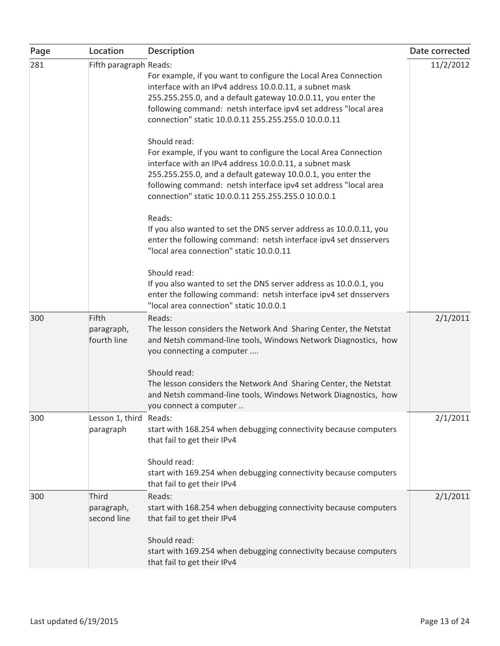| Page | Location                            | <b>Description</b>                                                                                                                                                                                                                                                                                                                                                                                                                                                                                                                                                                                      | Date corrected |
|------|-------------------------------------|---------------------------------------------------------------------------------------------------------------------------------------------------------------------------------------------------------------------------------------------------------------------------------------------------------------------------------------------------------------------------------------------------------------------------------------------------------------------------------------------------------------------------------------------------------------------------------------------------------|----------------|
| 281  | Fifth paragraph Reads:              | For example, if you want to configure the Local Area Connection<br>interface with an IPv4 address 10.0.0.11, a subnet mask<br>255.255.255.0, and a default gateway 10.0.0.11, you enter the<br>following command: netsh interface ipv4 set address "local area<br>connection" static 10.0.0.11 255.255.255.0 10.0.0.11<br>Should read:<br>For example, if you want to configure the Local Area Connection<br>interface with an IPv4 address 10.0.0.11, a subnet mask<br>255.255.255.0, and a default gateway 10.0.0.1, you enter the<br>following command: netsh interface ipv4 set address "local area | 11/2/2012      |
|      |                                     | connection" static 10.0.0.11 255.255.255.0 10.0.0.1<br>Reads:<br>If you also wanted to set the DNS server address as 10.0.0.11, you<br>enter the following command: netsh interface ipv4 set dnsservers<br>"local area connection" static 10.0.0.11                                                                                                                                                                                                                                                                                                                                                     |                |
|      |                                     | Should read:<br>If you also wanted to set the DNS server address as 10.0.0.1, you<br>enter the following command: netsh interface ipv4 set dnsservers<br>"local area connection" static 10.0.0.1                                                                                                                                                                                                                                                                                                                                                                                                        |                |
| 300  | Fifth<br>paragraph,<br>fourth line  | Reads:<br>The lesson considers the Network And Sharing Center, the Netstat<br>and Netsh command-line tools, Windows Network Diagnostics, how<br>you connecting a computer<br>Should read:                                                                                                                                                                                                                                                                                                                                                                                                               | 2/1/2011       |
|      |                                     | The lesson considers the Network And Sharing Center, the Netstat<br>and Netsh command-line tools, Windows Network Diagnostics, how<br>you connect a computer                                                                                                                                                                                                                                                                                                                                                                                                                                            |                |
| 300  | Lesson 1, third Reads:<br>paragraph | start with 168.254 when debugging connectivity because computers<br>that fail to get their IPv4<br>Should read:                                                                                                                                                                                                                                                                                                                                                                                                                                                                                         | 2/1/2011       |
|      |                                     | start with 169.254 when debugging connectivity because computers<br>that fail to get their IPv4                                                                                                                                                                                                                                                                                                                                                                                                                                                                                                         |                |
| 300  | Third<br>paragraph,<br>second line  | Reads:<br>start with 168.254 when debugging connectivity because computers<br>that fail to get their IPv4                                                                                                                                                                                                                                                                                                                                                                                                                                                                                               | 2/1/2011       |
|      |                                     | Should read:<br>start with 169.254 when debugging connectivity because computers<br>that fail to get their IPv4                                                                                                                                                                                                                                                                                                                                                                                                                                                                                         |                |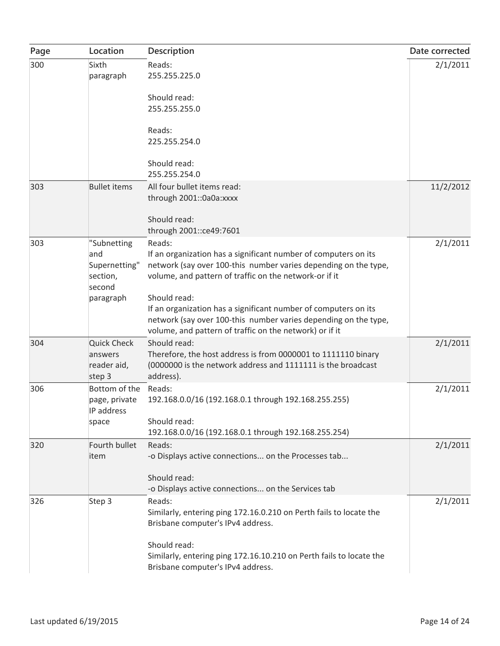| Page | Location                                                  | Description                                                                                                                                                                                                   | Date corrected |
|------|-----------------------------------------------------------|---------------------------------------------------------------------------------------------------------------------------------------------------------------------------------------------------------------|----------------|
| 300  | Sixth<br>paragraph                                        | Reads:<br>255.255.225.0                                                                                                                                                                                       | 2/1/2011       |
|      |                                                           | Should read:<br>255.255.255.0                                                                                                                                                                                 |                |
|      |                                                           | Reads:<br>225.255.254.0                                                                                                                                                                                       |                |
|      |                                                           | Should read:<br>255.255.254.0                                                                                                                                                                                 |                |
| 303  | <b>Bullet items</b>                                       | All four bullet items read:<br>through 2001::0a0a:xxxx                                                                                                                                                        | 11/2/2012      |
|      |                                                           | Should read:<br>through 2001:: ce49: 7601                                                                                                                                                                     |                |
| 303  | "Subnetting<br>and<br>Supernetting"<br>section,<br>second | Reads:<br>If an organization has a significant number of computers on its<br>network (say over 100-this number varies depending on the type,<br>volume, and pattern of traffic on the network-or if it        | 2/1/2011       |
|      | paragraph                                                 | Should read:<br>If an organization has a significant number of computers on its<br>network (say over 100-this number varies depending on the type,<br>volume, and pattern of traffic on the network) or if it |                |
| 304  | <b>Quick Check</b><br>answers<br>reader aid,<br>step 3    | Should read:<br>Therefore, the host address is from 0000001 to 1111110 binary<br>(0000000 is the network address and 1111111 is the broadcast<br>address).                                                    | 2/1/2011       |
| 306  | Bottom of the<br>page, private<br>IP address              | Reads:<br>192.168.0.0/16 (192.168.0.1 through 192.168.255.255)                                                                                                                                                | 2/1/2011       |
|      | space                                                     | Should read:<br>192.168.0.0/16 (192.168.0.1 through 192.168.255.254)                                                                                                                                          |                |
| 320  | Fourth bullet<br>item                                     | Reads:<br>-o Displays active connections on the Processes tab                                                                                                                                                 | 2/1/2011       |
|      |                                                           | Should read:<br>-o Displays active connections on the Services tab                                                                                                                                            |                |
| 326  | Step 3                                                    | Reads:<br>Similarly, entering ping 172.16.0.210 on Perth fails to locate the<br>Brisbane computer's IPv4 address.                                                                                             | 2/1/2011       |
|      |                                                           | Should read:<br>Similarly, entering ping 172.16.10.210 on Perth fails to locate the<br>Brisbane computer's IPv4 address.                                                                                      |                |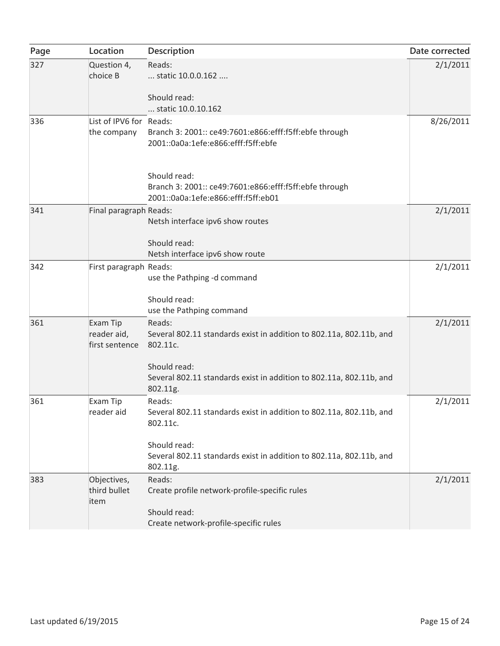| Page | Location                                  | Description                                                                                                                                                                                                              | Date corrected |
|------|-------------------------------------------|--------------------------------------------------------------------------------------------------------------------------------------------------------------------------------------------------------------------------|----------------|
| 327  | Question 4,<br>choice B                   | Reads:<br>static 10.0.0.162                                                                                                                                                                                              | 2/1/2011       |
|      |                                           | Should read:<br>static 10.0.10.162                                                                                                                                                                                       |                |
| 336  | List of IPV6 for Reads:<br>the company    | Branch 3: 2001:: ce49:7601:e866:efff:f5ff:ebfe through<br>2001::0a0a:1efe:e866:efff:f5ff:ebfe                                                                                                                            | 8/26/2011      |
|      |                                           | Should read:<br>Branch 3: 2001:: ce49:7601:e866:efff:f5ff:ebfe through<br>2001::0a0a:1efe:e866:efff:f5ff:eb01                                                                                                            |                |
| 341  | Final paragraph Reads:                    | Netsh interface ipv6 show routes<br>Should read:<br>Netsh interface ipv6 show route                                                                                                                                      | 2/1/2011       |
| 342  | First paragraph Reads:                    | use the Pathping -d command<br>Should read:                                                                                                                                                                              | 2/1/2011       |
| 361  | Exam Tip<br>reader aid,<br>first sentence | use the Pathping command<br>Reads:<br>Several 802.11 standards exist in addition to 802.11a, 802.11b, and<br>802.11c.<br>Should read:<br>Several 802.11 standards exist in addition to 802.11a, 802.11b, and<br>802.11g. | 2/1/2011       |
| 361  | Exam Tip<br>reader aid                    | Reads:<br>Several 802.11 standards exist in addition to 802.11a, 802.11b, and<br>802.11c.<br>Should read:<br>Several 802.11 standards exist in addition to 802.11a, 802.11b, and<br>802.11g.                             | 2/1/2011       |
| 383  | Objectives,<br>third bullet<br>item       | Reads:<br>Create profile network-profile-specific rules<br>Should read:<br>Create network-profile-specific rules                                                                                                         | 2/1/2011       |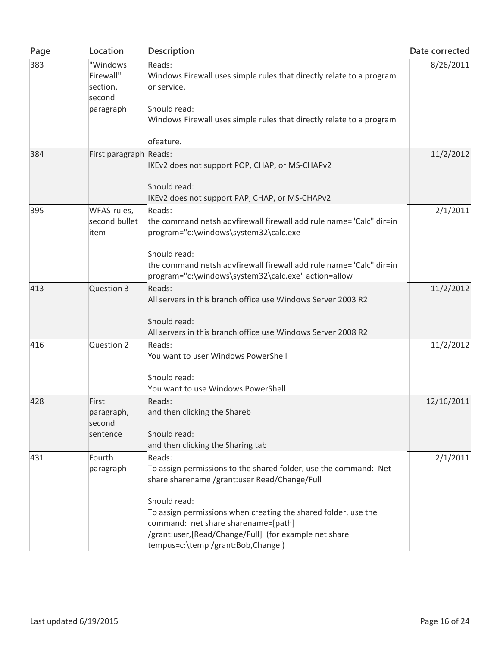| Page | Location                                    | Description                                                                                                                                                                                                          | Date corrected |
|------|---------------------------------------------|----------------------------------------------------------------------------------------------------------------------------------------------------------------------------------------------------------------------|----------------|
| 383  | "Windows<br>Firewall"<br>section,<br>second | Reads:<br>Windows Firewall uses simple rules that directly relate to a program<br>or service.                                                                                                                        | 8/26/2011      |
|      | paragraph                                   | Should read:<br>Windows Firewall uses simple rules that directly relate to a program                                                                                                                                 |                |
|      |                                             | ofeature.                                                                                                                                                                                                            |                |
| 384  | First paragraph Reads:                      | IKEv2 does not support POP, CHAP, or MS-CHAPv2                                                                                                                                                                       | 11/2/2012      |
|      |                                             | Should read:<br>IKEv2 does not support PAP, CHAP, or MS-CHAPv2                                                                                                                                                       |                |
| 395  | WFAS-rules,                                 | Reads:                                                                                                                                                                                                               | 2/1/2011       |
|      | second bullet<br>item                       | the command netsh advfirewall firewall add rule name="Calc" dir=in<br>program="c:\windows\system32\calc.exe                                                                                                          |                |
|      |                                             | Should read:<br>the command netsh advfirewall firewall add rule name="Calc" dir=in<br>program="c:\windows\system32\calc.exe" action=allow                                                                            |                |
| 413  | Question 3                                  | Reads:<br>All servers in this branch office use Windows Server 2003 R2                                                                                                                                               | 11/2/2012      |
|      |                                             | Should read:<br>All servers in this branch office use Windows Server 2008 R2                                                                                                                                         |                |
| 416  | Question 2                                  | Reads:<br>You want to user Windows PowerShell                                                                                                                                                                        | 11/2/2012      |
|      |                                             | Should read:<br>You want to use Windows PowerShell                                                                                                                                                                   |                |
| 428  | First<br>paragraph,<br>second               | Reads:<br>and then clicking the Shareb                                                                                                                                                                               | 12/16/2011     |
|      | sentence                                    | Should read:<br>and then clicking the Sharing tab                                                                                                                                                                    |                |
| 431  | Fourth<br>paragraph                         | Reads:<br>To assign permissions to the shared folder, use the command: Net<br>share sharename /grant:user Read/Change/Full                                                                                           | 2/1/2011       |
|      |                                             | Should read:<br>To assign permissions when creating the shared folder, use the<br>command: net share sharename=[path]<br>/grant:user, [Read/Change/Full] (for example net share<br>tempus=c:\temp /grant:Bob,Change) |                |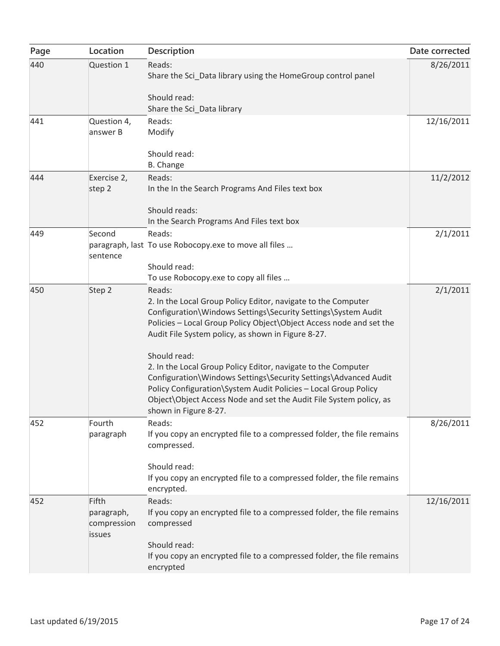| Page | Location                  | Description                                                                                                                                                                                                                                                                                        | Date corrected |
|------|---------------------------|----------------------------------------------------------------------------------------------------------------------------------------------------------------------------------------------------------------------------------------------------------------------------------------------------|----------------|
| 440  | Question 1                | Reads:<br>Share the Sci_Data library using the HomeGroup control panel                                                                                                                                                                                                                             | 8/26/2011      |
|      |                           | Should read:                                                                                                                                                                                                                                                                                       |                |
|      |                           | Share the Sci_Data library                                                                                                                                                                                                                                                                         |                |
| 441  | Question 4,               | Reads:                                                                                                                                                                                                                                                                                             | 12/16/2011     |
|      | answer B                  | Modify                                                                                                                                                                                                                                                                                             |                |
|      |                           | Should read:                                                                                                                                                                                                                                                                                       |                |
|      |                           | <b>B.</b> Change                                                                                                                                                                                                                                                                                   |                |
| 444  | Exercise 2,               | Reads:                                                                                                                                                                                                                                                                                             | 11/2/2012      |
|      | step 2                    | In the In the Search Programs And Files text box                                                                                                                                                                                                                                                   |                |
|      |                           | Should reads:                                                                                                                                                                                                                                                                                      |                |
| 449  | Second                    | In the Search Programs And Files text box<br>Reads:                                                                                                                                                                                                                                                |                |
|      | sentence                  | paragraph, last To use Robocopy exe to move all files                                                                                                                                                                                                                                              | 2/1/2011       |
|      |                           | Should read:                                                                                                                                                                                                                                                                                       |                |
|      |                           | To use Robocopy.exe to copy all files                                                                                                                                                                                                                                                              |                |
| 450  | Step 2                    | Reads:                                                                                                                                                                                                                                                                                             | 2/1/2011       |
|      |                           | 2. In the Local Group Policy Editor, navigate to the Computer<br>Configuration\Windows Settings\Security Settings\System Audit<br>Policies - Local Group Policy Object \Object Access node and set the<br>Audit File System policy, as shown in Figure 8-27.                                       |                |
|      |                           | Should read:                                                                                                                                                                                                                                                                                       |                |
|      |                           | 2. In the Local Group Policy Editor, navigate to the Computer<br>Configuration\Windows Settings\Security Settings\Advanced Audit<br>Policy Configuration\System Audit Policies - Local Group Policy<br>Object\Object Access Node and set the Audit File System policy, as<br>shown in Figure 8-27. |                |
| 452  | Fourth                    | Reads:                                                                                                                                                                                                                                                                                             | 8/26/2011      |
|      | paragraph                 | If you copy an encrypted file to a compressed folder, the file remains<br>compressed.                                                                                                                                                                                                              |                |
|      |                           | Should read:                                                                                                                                                                                                                                                                                       |                |
|      |                           | If you copy an encrypted file to a compressed folder, the file remains<br>encrypted.                                                                                                                                                                                                               |                |
| 452  | Fifth                     | Reads:                                                                                                                                                                                                                                                                                             | 12/16/2011     |
|      | paragraph,<br>compression | If you copy an encrypted file to a compressed folder, the file remains<br>compressed                                                                                                                                                                                                               |                |
|      | <i>issues</i>             | Should read:                                                                                                                                                                                                                                                                                       |                |
|      |                           | If you copy an encrypted file to a compressed folder, the file remains<br>encrypted                                                                                                                                                                                                                |                |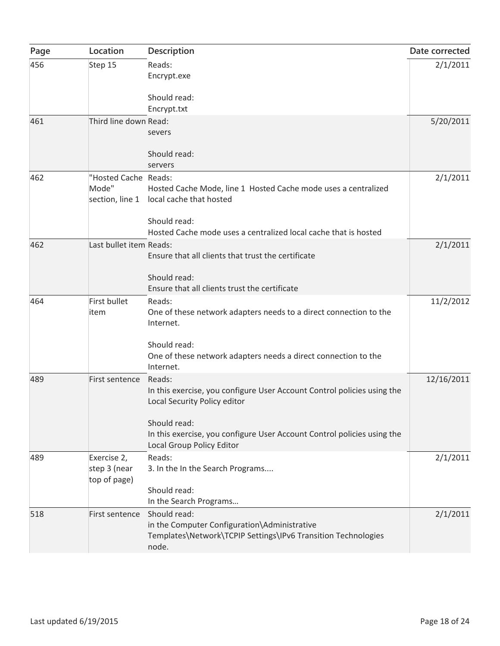| Page | Location                                    | Description                                                                                                                                                                                                                               | Date corrected |
|------|---------------------------------------------|-------------------------------------------------------------------------------------------------------------------------------------------------------------------------------------------------------------------------------------------|----------------|
| 456  | Step 15                                     | Reads:<br>Encrypt.exe                                                                                                                                                                                                                     | 2/1/2011       |
|      |                                             | Should read:<br>Encrypt.txt                                                                                                                                                                                                               |                |
| 461  | Third line down Read:                       | severs<br>Should read:                                                                                                                                                                                                                    | 5/20/2011      |
| 462  | "Hosted Cache Reads:<br>Mode"               | servers<br>Hosted Cache Mode, line 1 Hosted Cache mode uses a centralized<br>section, line 1 local cache that hosted<br>Should read:<br>Hosted Cache mode uses a centralized local cache that is hosted                                   | 2/1/2011       |
| 462  | Last bullet item Reads:                     | Ensure that all clients that trust the certificate<br>Should read:<br>Ensure that all clients trust the certificate                                                                                                                       | 2/1/2011       |
| 464  | First bullet<br>item                        | Reads:<br>One of these network adapters needs to a direct connection to the<br>Internet.<br>Should read:<br>One of these network adapters needs a direct connection to the<br>Internet.                                                   | 11/2/2012      |
| 489  | First sentence                              | Reads:<br>In this exercise, you configure User Account Control policies using the<br>Local Security Policy editor<br>Should read:<br>In this exercise, you configure User Account Control policies using the<br>Local Group Policy Editor | 12/16/2011     |
| 489  | Exercise 2,<br>step 3 (near<br>top of page) | Reads:<br>3. In the In the Search Programs<br>Should read:<br>In the Search Programs                                                                                                                                                      | 2/1/2011       |
| 518  | First sentence                              | Should read:<br>in the Computer Configuration\Administrative<br>Templates\Network\TCPIP Settings\IPv6 Transition Technologies<br>node.                                                                                                    | 2/1/2011       |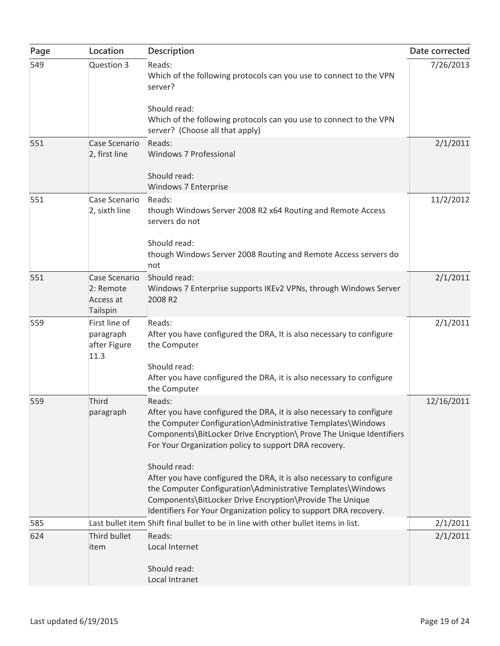| Page | Location                                            | Description                                                                                                                                                                                                                                                                          | Date corrected |
|------|-----------------------------------------------------|--------------------------------------------------------------------------------------------------------------------------------------------------------------------------------------------------------------------------------------------------------------------------------------|----------------|
| 549  | Question 3                                          | Reads:<br>Which of the following protocols can you use to connect to the VPN<br>server?<br>Should read:                                                                                                                                                                              | 7/26/2013      |
|      |                                                     | Which of the following protocols can you use to connect to the VPN<br>server? (Choose all that apply)                                                                                                                                                                                |                |
| 551  | Case Scenario<br>2, first line                      | Reads:<br>Windows 7 Professional                                                                                                                                                                                                                                                     | 2/1/2011       |
|      |                                                     | Should read:<br>Windows 7 Enterprise                                                                                                                                                                                                                                                 |                |
| 551  | Case Scenario<br>2, sixth line                      | Reads:<br>though Windows Server 2008 R2 x64 Routing and Remote Access<br>servers do not                                                                                                                                                                                              | 11/2/2012      |
|      |                                                     | Should read:<br>though Windows Server 2008 Routing and Remote Access servers do<br>not                                                                                                                                                                                               |                |
| 551  | Case Scenario<br>2: Remote<br>Access at<br>Tailspin | Should read:<br>Windows 7 Enterprise supports IKEv2 VPNs, through Windows Server<br>2008 R2                                                                                                                                                                                          | 2/1/2011       |
| 559  | First line of<br>paragraph<br>after Figure<br>11.3  | Reads:<br>After you have configured the DRA, It is also necessary to configure<br>the Computer                                                                                                                                                                                       | 2/1/2011       |
|      |                                                     | Should read:<br>After you have configured the DRA, it is also necessary to configure<br>the Computer                                                                                                                                                                                 |                |
| 559  | Third<br>paragraph                                  | Reads:<br>After you have configured the DRA, it is also necessary to configure<br>the Computer Configuration\Administrative Templates\Windows<br>Components\BitLocker Drive Encryption\ Prove The Unique Identifiers<br>For Your Organization policy to support DRA recovery.        | 12/16/2011     |
|      |                                                     | Should read:<br>After you have configured the DRA, it is also necessary to configure<br>the Computer Configuration\Administrative Templates\Windows<br>Components\BitLocker Drive Encryption\Provide The Unique<br>Identifiers For Your Organization policy to support DRA recovery. |                |
| 585  |                                                     | Last bullet item Shift final bullet to be in line with other bullet items in list.                                                                                                                                                                                                   | 2/1/2011       |
| 624  | Third bullet<br>item                                | Reads:<br>Local Internet<br>Should read:<br>Local Intranet                                                                                                                                                                                                                           | 2/1/2011       |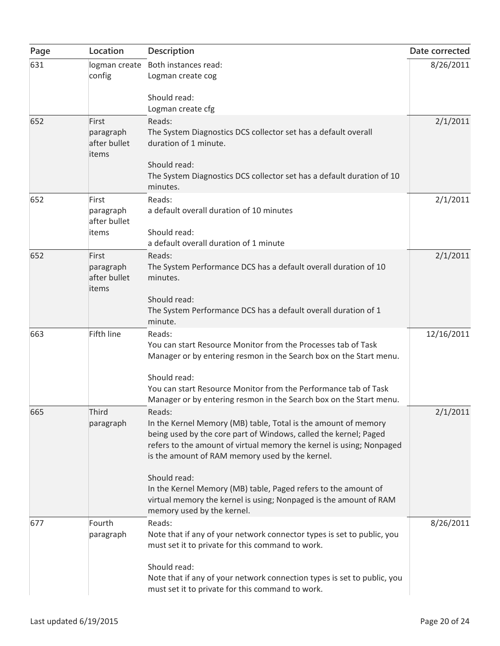| Page | Location                                    | Description                                                                                                                                                                                                                                                                                                                                                                                                                                                  | Date corrected |
|------|---------------------------------------------|--------------------------------------------------------------------------------------------------------------------------------------------------------------------------------------------------------------------------------------------------------------------------------------------------------------------------------------------------------------------------------------------------------------------------------------------------------------|----------------|
| 631  | config                                      | logman create Both instances read:<br>Logman create cog<br>Should read:<br>Logman create cfg                                                                                                                                                                                                                                                                                                                                                                 | 8/26/2011      |
| 652  | First<br>paragraph<br>after bullet<br>items | Reads:<br>The System Diagnostics DCS collector set has a default overall<br>duration of 1 minute.<br>Should read:<br>The System Diagnostics DCS collector set has a default duration of 10<br>minutes.                                                                                                                                                                                                                                                       | 2/1/2011       |
| 652  | First<br>paragraph<br>after bullet<br>items | Reads:<br>a default overall duration of 10 minutes<br>Should read:<br>a default overall duration of 1 minute                                                                                                                                                                                                                                                                                                                                                 | 2/1/2011       |
| 652  | First<br>paragraph<br>after bullet<br>items | Reads:<br>The System Performance DCS has a default overall duration of 10<br>minutes.<br>Should read:<br>The System Performance DCS has a default overall duration of 1<br>minute.                                                                                                                                                                                                                                                                           | 2/1/2011       |
| 663  | <b>Fifth line</b>                           | Reads:<br>You can start Resource Monitor from the Processes tab of Task<br>Manager or by entering resmon in the Search box on the Start menu.<br>Should read:<br>You can start Resource Monitor from the Performance tab of Task<br>Manager or by entering resmon in the Search box on the Start menu.                                                                                                                                                       | 12/16/2011     |
| 665  | Third<br>paragraph                          | Reads:<br>In the Kernel Memory (MB) table, Total is the amount of memory<br>being used by the core part of Windows, called the kernel; Paged<br>refers to the amount of virtual memory the kernel is using; Nonpaged<br>is the amount of RAM memory used by the kernel.<br>Should read:<br>In the Kernel Memory (MB) table, Paged refers to the amount of<br>virtual memory the kernel is using; Nonpaged is the amount of RAM<br>memory used by the kernel. | 2/1/2011       |
| 677  | Fourth<br>paragraph                         | Reads:<br>Note that if any of your network connector types is set to public, you<br>must set it to private for this command to work.<br>Should read:<br>Note that if any of your network connection types is set to public, you<br>must set it to private for this command to work.                                                                                                                                                                          | 8/26/2011      |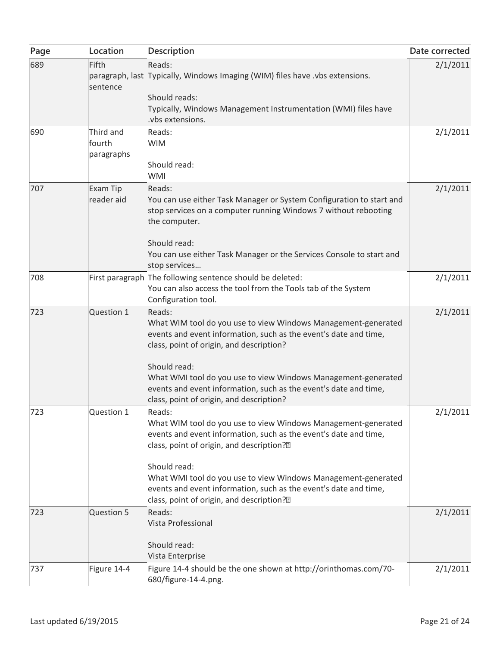| Page | Location                          | Description                                                                                                                                                                                                  | Date corrected |
|------|-----------------------------------|--------------------------------------------------------------------------------------------------------------------------------------------------------------------------------------------------------------|----------------|
| 689  | Fifth<br>sentence                 | Reads:<br>paragraph, last Typically, Windows Imaging (WIM) files have .vbs extensions.<br>Should reads:                                                                                                      | 2/1/2011       |
|      |                                   | Typically, Windows Management Instrumentation (WMI) files have<br>.vbs extensions.                                                                                                                           |                |
| 690  | Third and<br>fourth<br>paragraphs | Reads:<br><b>WIM</b><br>Should read:                                                                                                                                                                         | 2/1/2011       |
|      |                                   | <b>WMI</b>                                                                                                                                                                                                   |                |
| 707  | Exam Tip<br>reader aid            | Reads:<br>You can use either Task Manager or System Configuration to start and<br>stop services on a computer running Windows 7 without rebooting<br>the computer.                                           | 2/1/2011       |
|      |                                   | Should read:<br>You can use either Task Manager or the Services Console to start and<br>stop services                                                                                                        |                |
| 708  |                                   | First paragraph The following sentence should be deleted:<br>You can also access the tool from the Tools tab of the System<br>Configuration tool.                                                            | 2/1/2011       |
| 723  | Question 1                        | Reads:<br>What WIM tool do you use to view Windows Management-generated<br>events and event information, such as the event's date and time,<br>class, point of origin, and description?                      | 2/1/2011       |
|      |                                   | Should read:<br>What WMI tool do you use to view Windows Management-generated<br>events and event information, such as the event's date and time,<br>class, point of origin, and description?                |                |
| 723  | Question 1                        | Reads:<br>What WIM tool do you use to view Windows Management-generated<br>events and event information, such as the event's date and time,<br>class, point of origin, and description? <sup>[2]</sup>       | 2/1/2011       |
|      |                                   | Should read:<br>What WMI tool do you use to view Windows Management-generated<br>events and event information, such as the event's date and time,<br>class, point of origin, and description? <sup>[2]</sup> |                |
| 723  | Question 5                        | Reads:<br>Vista Professional<br>Should read:<br>Vista Enterprise                                                                                                                                             | 2/1/2011       |
| 737  | Figure 14-4                       | Figure 14-4 should be the one shown at http://orinthomas.com/70-<br>680/figure-14-4.png.                                                                                                                     | 2/1/2011       |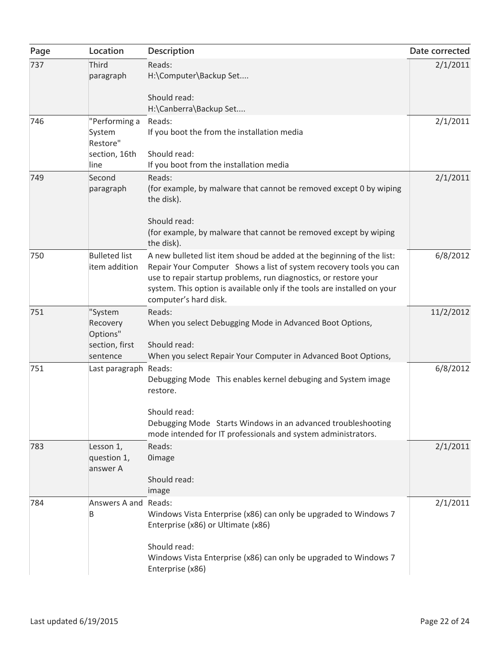| Page | Location                                                      | Description                                                                                                                                                                                                                                                                                                          | Date corrected |
|------|---------------------------------------------------------------|----------------------------------------------------------------------------------------------------------------------------------------------------------------------------------------------------------------------------------------------------------------------------------------------------------------------|----------------|
| 737  | Third<br>paragraph                                            | Reads:<br>H:\Computer\Backup Set<br>Should read:                                                                                                                                                                                                                                                                     | 2/1/2011       |
|      |                                                               | H:\Canberra\Backup Set                                                                                                                                                                                                                                                                                               |                |
| 746  | "Performing a<br>System<br>Restore"                           | Reads:<br>If you boot the from the installation media                                                                                                                                                                                                                                                                | 2/1/2011       |
|      | section, 16th<br>line                                         | Should read:<br>If you boot from the installation media                                                                                                                                                                                                                                                              |                |
| 749  | Second<br>paragraph                                           | Reads:<br>(for example, by malware that cannot be removed except 0 by wiping<br>the disk).                                                                                                                                                                                                                           | 2/1/2011       |
|      |                                                               | Should read:<br>(for example, by malware that cannot be removed except by wiping<br>the disk).                                                                                                                                                                                                                       |                |
| 750  | <b>Bulleted list</b><br>item addition                         | A new bulleted list item shoud be added at the beginning of the list:<br>Repair Your Computer Shows a list of system recovery tools you can<br>use to repair startup problems, run diagnostics, or restore your<br>system. This option is available only if the tools are installed on your<br>computer's hard disk. | 6/8/2012       |
| 751  | "System<br>Recovery<br>Options"<br>section, first<br>sentence | Reads:<br>When you select Debugging Mode in Advanced Boot Options,<br>Should read:<br>When you select Repair Your Computer in Advanced Boot Options,                                                                                                                                                                 | 11/2/2012      |
| 751  | Last paragraph Reads:                                         | Debugging Mode This enables kernel debuging and System image<br>restore.<br>Should read:                                                                                                                                                                                                                             | 6/8/2012       |
|      |                                                               | Debugging Mode Starts Windows in an advanced troubleshooting<br>mode intended for IT professionals and system administrators.                                                                                                                                                                                        |                |
| 783  | Lesson 1,<br>question 1,<br>answer A                          | Reads:<br><b>Oimage</b>                                                                                                                                                                                                                                                                                              | 2/1/2011       |
|      |                                                               | Should read:<br>image                                                                                                                                                                                                                                                                                                |                |
| 784  | Answers A and Reads:<br>B                                     | Windows Vista Enterprise (x86) can only be upgraded to Windows 7<br>Enterprise (x86) or Ultimate (x86)                                                                                                                                                                                                               | 2/1/2011       |
|      |                                                               | Should read:<br>Windows Vista Enterprise (x86) can only be upgraded to Windows 7<br>Enterprise (x86)                                                                                                                                                                                                                 |                |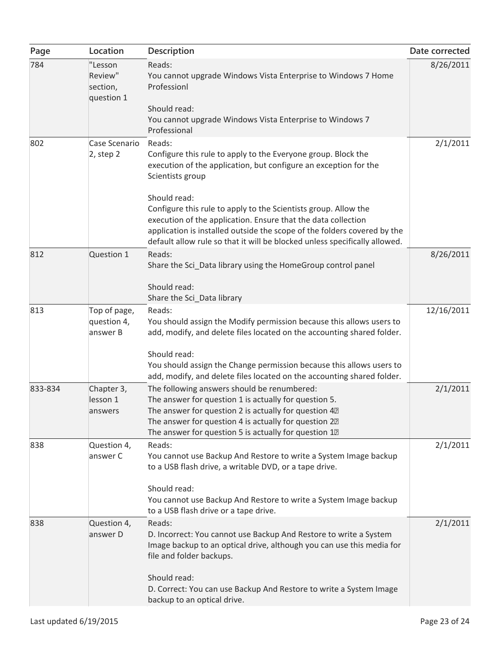| Page    | Location                                     | Description                                                                                                                                                                                                                                                                                                | Date corrected |
|---------|----------------------------------------------|------------------------------------------------------------------------------------------------------------------------------------------------------------------------------------------------------------------------------------------------------------------------------------------------------------|----------------|
| 784     | "Lesson<br>Review"<br>section,<br>question 1 | Reads:<br>You cannot upgrade Windows Vista Enterprise to Windows 7 Home<br>Professionl                                                                                                                                                                                                                     | 8/26/2011      |
|         |                                              | Should read:<br>You cannot upgrade Windows Vista Enterprise to Windows 7<br>Professional                                                                                                                                                                                                                   |                |
| 802     | Case Scenario<br>$2$ , step $2$              | Reads:<br>Configure this rule to apply to the Everyone group. Block the<br>execution of the application, but configure an exception for the<br>Scientists group                                                                                                                                            | 2/1/2011       |
|         |                                              | Should read:<br>Configure this rule to apply to the Scientists group. Allow the<br>execution of the application. Ensure that the data collection<br>application is installed outside the scope of the folders covered by the<br>default allow rule so that it will be blocked unless specifically allowed. |                |
| 812     | Question 1                                   | Reads:<br>Share the Sci Data library using the HomeGroup control panel                                                                                                                                                                                                                                     | 8/26/2011      |
|         |                                              | Should read:<br>Share the Sci_Data library                                                                                                                                                                                                                                                                 |                |
| 813     | Top of page,<br>question 4,<br>answer B      | Reads:<br>You should assign the Modify permission because this allows users to<br>add, modify, and delete files located on the accounting shared folder.                                                                                                                                                   | 12/16/2011     |
|         |                                              | Should read:<br>You should assign the Change permission because this allows users to<br>add, modify, and delete files located on the accounting shared folder.                                                                                                                                             |                |
| 833-834 | Chapter 3,<br>lesson 1<br>answers            | The following answers should be renumbered:<br>The answer for question 1 is actually for question 5.<br>The answer for question 2 is actually for question 42<br>The answer for question 4 is actually for question 22<br>The answer for question 5 is actually for question 12                            | 2/1/2011       |
| 838     | Question 4,<br>answer C                      | Reads:<br>You cannot use Backup And Restore to write a System Image backup<br>to a USB flash drive, a writable DVD, or a tape drive.                                                                                                                                                                       | 2/1/2011       |
|         |                                              | Should read:<br>You cannot use Backup And Restore to write a System Image backup<br>to a USB flash drive or a tape drive.                                                                                                                                                                                  |                |
| 838     | Question 4,<br>answer D                      | Reads:<br>D. Incorrect: You cannot use Backup And Restore to write a System<br>Image backup to an optical drive, although you can use this media for<br>file and folder backups.                                                                                                                           | 2/1/2011       |
|         |                                              | Should read:<br>D. Correct: You can use Backup And Restore to write a System Image<br>backup to an optical drive.                                                                                                                                                                                          |                |